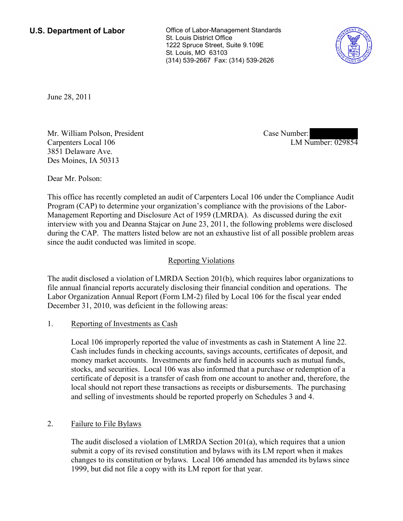**U.S. Department of Labor Conservative Conservative Conservative U.S. Department of Labor** St. Louis District Office 1222 Spruce Street, Suite 9.109E St. Louis, MO 63103 (314) 539-2667 Fax: (314) 539-2626



June 28, 2011

Mr. William Polson, President Carpenters Local 106 3851 Delaware Ave. Des Moines, IA 50313

Case Number: LM Number: 029854

Dear Mr. Polson:

This office has recently completed an audit of Carpenters Local 106 under the Compliance Audit Program (CAP) to determine your organization's compliance with the provisions of the Labor-Management Reporting and Disclosure Act of 1959 (LMRDA). As discussed during the exit interview with you and Deanna Stajcar on June 23, 2011, the following problems were disclosed during the CAP. The matters listed below are not an exhaustive list of all possible problem areas since the audit conducted was limited in scope.

## Reporting Violations

The audit disclosed a violation of LMRDA Section 201(b), which requires labor organizations to file annual financial reports accurately disclosing their financial condition and operations. The Labor Organization Annual Report (Form LM-2) filed by Local 106 for the fiscal year ended December 31, 2010, was deficient in the following areas:

## 1. Reporting of Investments as Cash

Local 106 improperly reported the value of investments as cash in Statement A line 22. Cash includes funds in checking accounts, savings accounts, certificates of deposit, and money market accounts. Investments are funds held in accounts such as mutual funds, stocks, and securities. Local 106 was also informed that a purchase or redemption of a certificate of deposit is a transfer of cash from one account to another and, therefore, the local should not report these transactions as receipts or disbursements. The purchasing and selling of investments should be reported properly on Schedules 3 and 4.

## 2. Failure to File Bylaws

The audit disclosed a violation of LMRDA Section 201(a), which requires that a union submit a copy of its revised constitution and bylaws with its LM report when it makes changes to its constitution or bylaws. Local 106 amended has amended its bylaws since 1999, but did not file a copy with its LM report for that year.